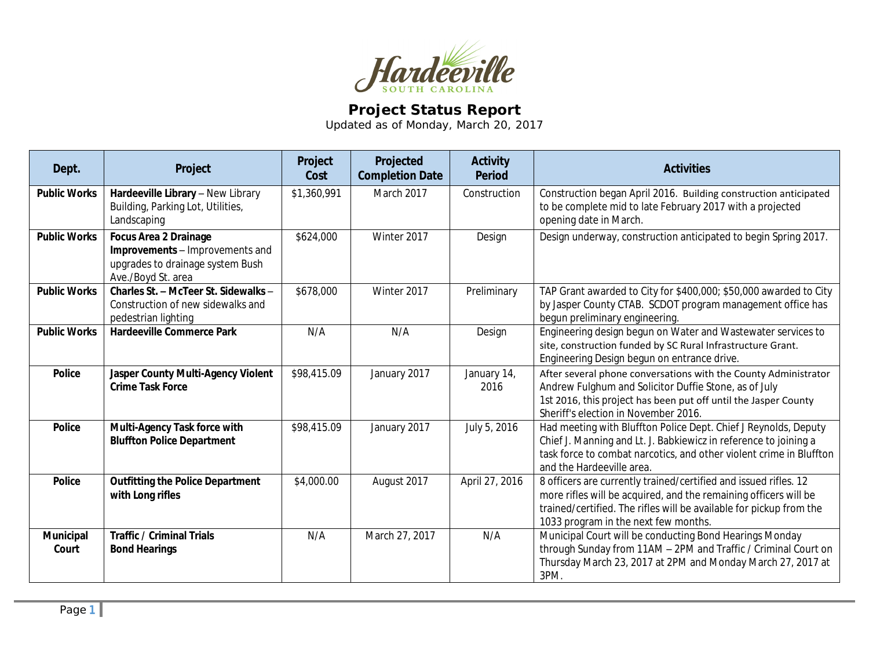

## **Project Status Report**

Updated as of Monday, March 20, 2017

| Dept.               | Project                                                                                                                   | Project<br>Cost | Projected<br><b>Completion Date</b> | <b>Activity</b><br><b>Period</b> | <b>Activities</b>                                                                                                                                                                                                                                   |
|---------------------|---------------------------------------------------------------------------------------------------------------------------|-----------------|-------------------------------------|----------------------------------|-----------------------------------------------------------------------------------------------------------------------------------------------------------------------------------------------------------------------------------------------------|
| <b>Public Works</b> | Hardeeville Library - New Library<br>Building, Parking Lot, Utilities,<br>Landscaping                                     | \$1,360,991     | March 2017                          | Construction                     | Construction began April 2016. Building construction anticipated<br>to be complete mid to late February 2017 with a projected<br>opening date in March.                                                                                             |
| <b>Public Works</b> | <b>Focus Area 2 Drainage</b><br>Improvements - Improvements and<br>upgrades to drainage system Bush<br>Ave./Boyd St. area | \$624,000       | Winter 2017                         | Design                           | Design underway, construction anticipated to begin Spring 2017.                                                                                                                                                                                     |
| <b>Public Works</b> | Charles St. - McTeer St. Sidewalks -<br>Construction of new sidewalks and<br>pedestrian lighting                          | \$678,000       | Winter 2017                         | Preliminary                      | TAP Grant awarded to City for \$400,000; \$50,000 awarded to City<br>by Jasper County CTAB. SCDOT program management office has<br>begun preliminary engineering.                                                                                   |
| <b>Public Works</b> | <b>Hardeeville Commerce Park</b>                                                                                          | N/A             | N/A                                 | Design                           | Engineering design begun on Water and Wastewater services to<br>site, construction funded by SC Rural Infrastructure Grant.<br>Engineering Design begun on entrance drive.                                                                          |
| <b>Police</b>       | Jasper County Multi-Agency Violent<br><b>Crime Task Force</b>                                                             | \$98,415.09     | January 2017                        | January 14,<br>2016              | After several phone conversations with the County Administrator<br>Andrew Fulghum and Solicitor Duffie Stone, as of July<br>1st 2016, this project has been put off until the Jasper County<br>Sheriff's election in November 2016.                 |
| Police              | Multi-Agency Task force with<br><b>Bluffton Police Department</b>                                                         | \$98,415.09     | January 2017                        | July 5, 2016                     | Had meeting with Bluffton Police Dept. Chief J Reynolds, Deputy<br>Chief J. Manning and Lt. J. Babkiewicz in reference to joining a<br>task force to combat narcotics, and other violent crime in Bluffton<br>and the Hardeeville area.             |
| <b>Police</b>       | <b>Outfitting the Police Department</b><br>with Long rifles                                                               | \$4,000.00      | August 2017                         | April 27, 2016                   | 8 officers are currently trained/certified and issued rifles. 12<br>more rifles will be acquired, and the remaining officers will be<br>trained/certified. The rifles will be available for pickup from the<br>1033 program in the next few months. |
| Municipal<br>Court  | <b>Traffic / Criminal Trials</b><br><b>Bond Hearings</b>                                                                  | N/A             | March 27, 2017                      | N/A                              | Municipal Court will be conducting Bond Hearings Monday<br>through Sunday from 11AM - 2PM and Traffic / Criminal Court on<br>Thursday March 23, 2017 at 2PM and Monday March 27, 2017 at<br>3PM.                                                    |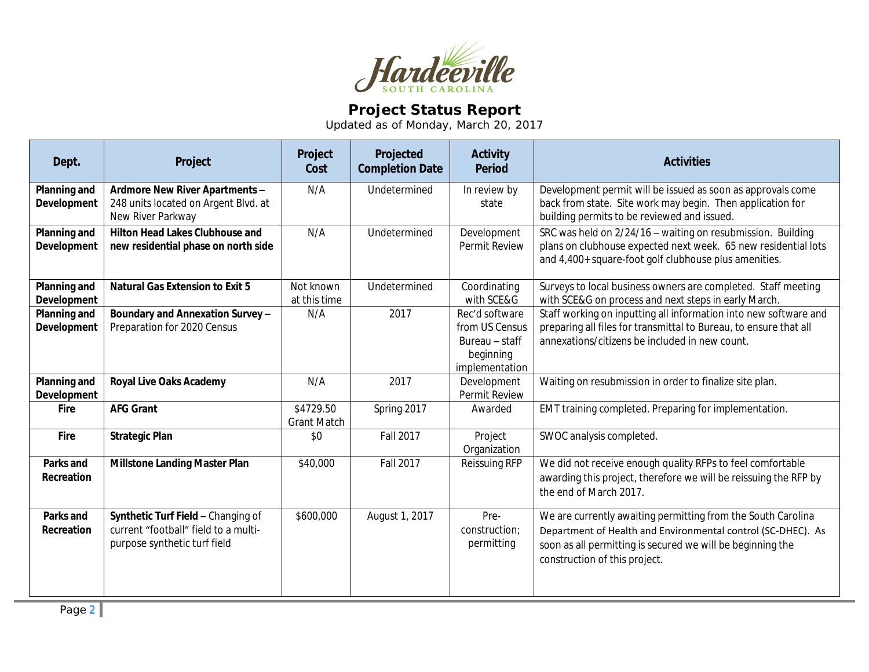

## **Project Status Report**

Updated as of Monday, March 20, 2017

| Dept.                                     | Project                                                                                                    | Project<br>Cost                 | Projected<br><b>Completion Date</b> | <b>Activity</b><br><b>Period</b>                                                  | <b>Activities</b>                                                                                                                                                                                                           |
|-------------------------------------------|------------------------------------------------------------------------------------------------------------|---------------------------------|-------------------------------------|-----------------------------------------------------------------------------------|-----------------------------------------------------------------------------------------------------------------------------------------------------------------------------------------------------------------------------|
| <b>Planning and</b><br>Development        | Ardmore New River Apartments -<br>248 units located on Argent Blvd. at<br>New River Parkway                | N/A                             | Undetermined                        | In review by<br>state                                                             | Development permit will be issued as soon as approvals come<br>back from state. Site work may begin. Then application for<br>building permits to be reviewed and issued.                                                    |
| <b>Planning and</b><br>Development        | <b>Hilton Head Lakes Clubhouse and</b><br>new residential phase on north side                              | N/A                             | Undetermined                        | Development<br>Permit Review                                                      | SRC was held on 2/24/16 - waiting on resubmission. Building<br>plans on clubhouse expected next week. 65 new residential lots<br>and 4,400+ square-foot golf clubhouse plus amenities.                                      |
| <b>Planning and</b><br><b>Development</b> | <b>Natural Gas Extension to Exit 5</b>                                                                     | Not known<br>at this time       | Undetermined                        | Coordinating<br>with SCE&G                                                        | Surveys to local business owners are completed. Staff meeting<br>with SCE&G on process and next steps in early March.                                                                                                       |
| Planning and<br>Development               | Boundary and Annexation Survey -<br>Preparation for 2020 Census                                            | N/A                             | 2017                                | Rec'd software<br>from US Census<br>Bureau - staff<br>beginning<br>implementation | Staff working on inputting all information into new software and<br>preparing all files for transmittal to Bureau, to ensure that all<br>annexations/citizens be included in new count.                                     |
| Planning and<br>Development               | <b>Royal Live Oaks Academy</b>                                                                             | N/A                             | 2017                                | Development<br>Permit Review                                                      | Waiting on resubmission in order to finalize site plan.                                                                                                                                                                     |
| <b>Fire</b>                               | <b>AFG Grant</b>                                                                                           | \$4729.50<br><b>Grant Match</b> | Spring 2017                         | Awarded                                                                           | EMT training completed. Preparing for implementation.                                                                                                                                                                       |
| Fire                                      | <b>Strategic Plan</b>                                                                                      | \$0                             | Fall 2017                           | Project<br>Organization                                                           | SWOC analysis completed.                                                                                                                                                                                                    |
| Parks and<br>Recreation                   | <b>Millstone Landing Master Plan</b>                                                                       | \$40,000                        | <b>Fall 2017</b>                    | Reissuing RFP                                                                     | We did not receive enough quality RFPs to feel comfortable<br>awarding this project, therefore we will be reissuing the RFP by<br>the end of March 2017.                                                                    |
| Parks and<br>Recreation                   | Synthetic Turf Field - Changing of<br>current "football" field to a multi-<br>purpose synthetic turf field | \$600,000                       | August 1, 2017                      | Pre-<br>construction;<br>permitting                                               | We are currently awaiting permitting from the South Carolina<br>Department of Health and Environmental control (SC-DHEC). As<br>soon as all permitting is secured we will be beginning the<br>construction of this project. |